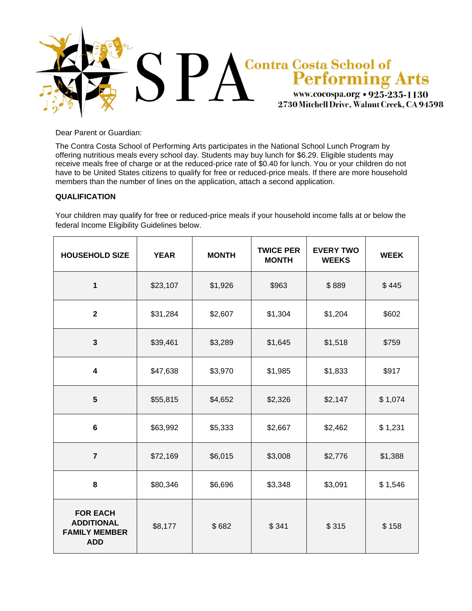

Dear Parent or Guardian:

The Contra Costa School of Performing Arts participates in the National School Lunch Program by offering nutritious meals every school day. Students may buy lunch for \$6.29. Eligible students may receive meals free of charge or at the reduced-price rate of \$0.40 for lunch. You or your children do not have to be United States citizens to qualify for free or reduced-price meals. If there are more household members than the number of lines on the application, attach a second application.

# **QUALIFICATION**

Your children may qualify for free or reduced-price meals if your household income falls at or below the federal Income Eligibility Guidelines below.

| <b>HOUSEHOLD SIZE</b>                                                      | <b>YEAR</b> | <b>MONTH</b> | <b>TWICE PER</b><br><b>MONTH</b> | <b>EVERY TWO</b><br><b>WEEKS</b> | <b>WEEK</b> |
|----------------------------------------------------------------------------|-------------|--------------|----------------------------------|----------------------------------|-------------|
| $\mathbf{1}$                                                               | \$23,107    | \$1,926      | \$963                            | \$889                            | \$445       |
| $\mathbf{2}$                                                               | \$31,284    | \$2,607      | \$1,304                          | \$1,204                          | \$602       |
| $\mathbf{3}$                                                               | \$39,461    | \$3,289      | \$1,645                          | \$1,518                          | \$759       |
| $\overline{\mathbf{4}}$                                                    | \$47,638    | \$3,970      | \$1,985                          | \$1,833                          | \$917       |
| 5                                                                          | \$55,815    | \$4,652      | \$2,326                          | \$2,147                          | \$1,074     |
| $6\phantom{1}6$                                                            | \$63,992    | \$5,333      | \$2,667                          | \$2,462                          | \$1,231     |
| $\overline{7}$                                                             | \$72,169    | \$6,015      | \$3,008                          | \$2,776                          | \$1,388     |
| 8                                                                          | \$80,346    | \$6,696      | \$3,348                          | \$3,091                          | \$1,546     |
| <b>FOR EACH</b><br><b>ADDITIONAL</b><br><b>FAMILY MEMBER</b><br><b>ADD</b> | \$8,177     | \$682        | \$341                            | \$315                            | \$158       |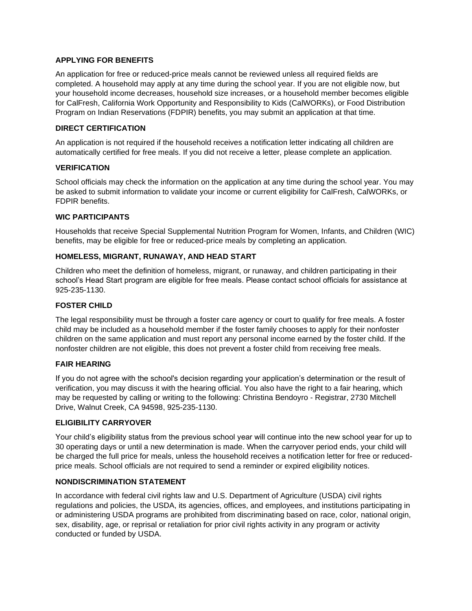# **APPLYING FOR BENEFITS**

An application for free or reduced-price meals cannot be reviewed unless all required fields are completed. A household may apply at any time during the school year. If you are not eligible now, but your household income decreases, household size increases, or a household member becomes eligible for CalFresh, California Work Opportunity and Responsibility to Kids (CalWORKs), or Food Distribution Program on Indian Reservations (FDPIR) benefits, you may submit an application at that time.

# **DIRECT CERTIFICATION**

An application is not required if the household receives a notification letter indicating all children are automatically certified for free meals. If you did not receive a letter, please complete an application.

# **VERIFICATION**

School officials may check the information on the application at any time during the school year. You may be asked to submit information to validate your income or current eligibility for CalFresh, CalWORKs, or FDPIR benefits.

# **WIC PARTICIPANTS**

Households that receive Special Supplemental Nutrition Program for Women, Infants, and Children (WIC) benefits, may be eligible for free or reduced-price meals by completing an application.

# **HOMELESS, MIGRANT, RUNAWAY, AND HEAD START**

Children who meet the definition of homeless, migrant, or runaway, and children participating in their school's Head Start program are eligible for free meals. Please contact school officials for assistance at 925-235-1130.

#### **FOSTER CHILD**

The legal responsibility must be through a foster care agency or court to qualify for free meals. A foster child may be included as a household member if the foster family chooses to apply for their nonfoster children on the same application and must report any personal income earned by the foster child. If the nonfoster children are not eligible, this does not prevent a foster child from receiving free meals.

#### **FAIR HEARING**

If you do not agree with the school's decision regarding your application's determination or the result of verification, you may discuss it with the hearing official. You also have the right to a fair hearing, which may be requested by calling or writing to the following: Christina Bendoyro - Registrar, 2730 Mitchell Drive, Walnut Creek, CA 94598, 925-235-1130.

#### **ELIGIBILITY CARRYOVER**

Your child's eligibility status from the previous school year will continue into the new school year for up to 30 operating days or until a new determination is made. When the carryover period ends, your child will be charged the full price for meals, unless the household receives a notification letter for free or reducedprice meals. School officials are not required to send a reminder or expired eligibility notices.

#### **NONDISCRIMINATION STATEMENT**

In accordance with federal civil rights law and U.S. Department of Agriculture (USDA) civil rights regulations and policies, the USDA, its agencies, offices, and employees, and institutions participating in or administering USDA programs are prohibited from discriminating based on race, color, national origin, sex, disability, age, or reprisal or retaliation for prior civil rights activity in any program or activity conducted or funded by USDA.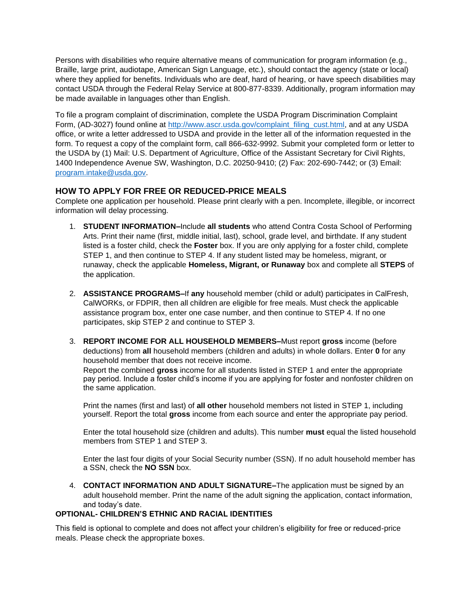Persons with disabilities who require alternative means of communication for program information (e.g., Braille, large print, audiotape, American Sign Language, etc.), should contact the agency (state or local) where they applied for benefits. Individuals who are deaf, hard of hearing, or have speech disabilities may contact USDA through the Federal Relay Service at 800-877-8339. Additionally, program information may be made available in languages other than English.

To file a program complaint of discrimination, complete the USDA Program Discrimination Complaint Form, (AD-3027) found online at [http://www.ascr.usda.gov/complaint\\_filing\\_cust.html,](http://www.ascr.usda.gov/complaint_filing_cust.html) and at any USDA office, or write a letter addressed to USDA and provide in the letter all of the information requested in the form. To request a copy of the complaint form, call 866-632-9992. Submit your completed form or letter to the USDA by (1) Mail: U.S. Department of Agriculture, Office of the Assistant Secretary for Civil Rights, 1400 Independence Avenue SW, Washington, D.C. 20250-9410; (2) Fax: 202-690-7442; or (3) Email: [program.intake@usda.gov.](mailto:program.intake@usda.gov)

# **HOW TO APPLY FOR FREE OR REDUCED-PRICE MEALS**

Complete one application per household. Please print clearly with a pen. Incomplete, illegible, or incorrect information will delay processing.

- 1. **STUDENT INFORMATION–**Include **all students** who attend Contra Costa School of Performing Arts. Print their name (first, middle initial, last), school, grade level, and birthdate. If any student listed is a foster child, check the **Foster** box. If you are only applying for a foster child, complete STEP 1, and then continue to STEP 4. If any student listed may be homeless, migrant, or runaway, check the applicable **Homeless, Migrant, or Runaway** box and complete all **STEPS** of the application.
- 2. **ASSISTANCE PROGRAMS–**If **any** household member (child or adult) participates in CalFresh, CalWORKs, or FDPIR, then all children are eligible for free meals. Must check the applicable assistance program box, enter one case number, and then continue to STEP 4. If no one participates, skip STEP 2 and continue to STEP 3.
- 3. **REPORT INCOME FOR ALL HOUSEHOLD MEMBERS–**Must report **gross** income (before deductions) from **all** household members (children and adults) in whole dollars. Enter **0** for any household member that does not receive income.

Report the combined **gross** income for all students listed in STEP 1 and enter the appropriate pay period. Include a foster child's income if you are applying for foster and nonfoster children on the same application.

Print the names (first and last) of **all other** household members not listed in STEP 1, including yourself. Report the total **gross** income from each source and enter the appropriate pay period.

Enter the total household size (children and adults). This number **must** equal the listed household members from STEP 1 and STEP 3.

Enter the last four digits of your Social Security number (SSN). If no adult household member has a SSN, check the **NO SSN** box.

4. **CONTACT INFORMATION AND ADULT SIGNATURE–**The application must be signed by an adult household member. Print the name of the adult signing the application, contact information, and today's date.

# **OPTIONAL- CHILDREN'S ETHNIC AND RACIAL IDENTITIES**

This field is optional to complete and does not affect your children's eligibility for free or reduced-price meals. Please check the appropriate boxes.